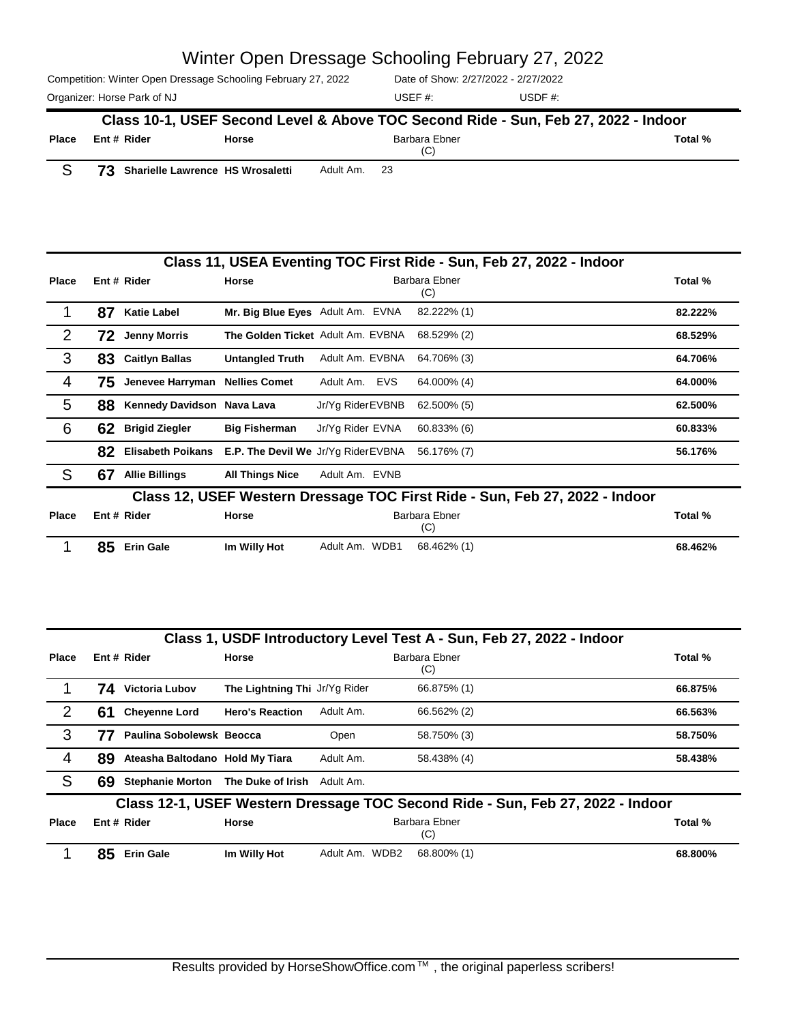Competition: Winter Open Dressage Schooling February 27, 2022 Organizer: Horse Park of NJ and the USDF #: Contract the USDF #: Contract the USDF #: Contract the USDF #: Contract the USDF #: Contract the USDF #: Contract the USDF #: Contract the USDF #: Contract the USDF #: Contract t Date of Show: 2/27/2022 - 2/27/2022 USEF #: Barbara Ebner (C) **Place Rider Horse Total % Class 10-1, USEF Second Level & Above TOC Second Ride - Sun, Feb 27, 2022 - Indoor Ent #**

S **73 Sharielle Lawrence HS Wrosaletti** Adult Am. <sup>23</sup>

|              | Class 11, USEA Eventing TOC First Ride - Sun, Feb 27, 2022 - Indoor         |                                |                                            |                                   |                      |         |  |
|--------------|-----------------------------------------------------------------------------|--------------------------------|--------------------------------------------|-----------------------------------|----------------------|---------|--|
| <b>Place</b> |                                                                             | Ent # Rider                    | Horse                                      |                                   | Barbara Ebner<br>(C) | Total % |  |
|              | 87                                                                          | <b>Katie Label</b>             | Mr. Big Blue Eyes Adult Am. EVNA           |                                   | 82.222% (1)          | 82.222% |  |
| 2            | 72                                                                          | <b>Jenny Morris</b>            |                                            | The Golden Ticket Adult Am. EVBNA | 68.529% (2)          | 68.529% |  |
| 3            | 83                                                                          | <b>Caitlyn Ballas</b>          | <b>Untangled Truth</b>                     | Adult Am. EVBNA                   | 64.706% (3)          | 64.706% |  |
| 4            | 75.                                                                         | Jenevee Harryman Nellies Comet |                                            | Adult Am. EVS                     | 64.000% (4)          | 64.000% |  |
| 5            | 88                                                                          | Kennedy Davidson Nava Lava     |                                            | Jr/Yg Rider EVBNB                 | 62.500% (5)          | 62.500% |  |
| 6            | 62                                                                          | <b>Brigid Ziegler</b>          | <b>Big Fisherman</b>                       | Jr/Yg Rider EVNA                  | 60.833% (6)          | 60.833% |  |
|              | 82                                                                          | <b>Elisabeth Poikans</b>       | <b>E.P. The Devil We Jr/Yg Rider EVBNA</b> |                                   | 56.176% (7)          | 56.176% |  |
| S            | 67                                                                          | <b>Allie Billings</b>          | <b>All Things Nice</b>                     | Adult Am. EVNB                    |                      |         |  |
|              | Class 12. USEF Western Dressage TOC First Ride - Sun. Feb 27. 2022 - Indoor |                                |                                            |                                   |                      |         |  |

| <b>Place</b> | Ent # Rider  | Horse        |                | Barbara Ebner<br>(C) | Total % |
|--------------|--------------|--------------|----------------|----------------------|---------|
|              | 85 Erin Gale | Im Willy Hot | Adult Am. WDB1 | 68.462% (1)          | 68.462% |

|              |    |                                 |                               |                | Class 1, USDF Introductory Level Test A - Sun, Feb 27, 2022 - Indoor           |         |
|--------------|----|---------------------------------|-------------------------------|----------------|--------------------------------------------------------------------------------|---------|
| <b>Place</b> |    | Ent # Rider                     | <b>Horse</b>                  |                | Barbara Ebner<br>(C)                                                           | Total % |
|              | 74 | <b>Victoria Lubov</b>           | The Lightning Thi Jr/Yg Rider |                | 66.875% (1)                                                                    | 66.875% |
| 2            | 61 | <b>Chevenne Lord</b>            | <b>Hero's Reaction</b>        | Adult Am.      | 66.562% (2)                                                                    | 66.563% |
| 3            | 77 | Paulina Sobolewsk Beocca        |                               | Open           | 58.750% (3)                                                                    | 58.750% |
| 4            | 89 | Ateasha Baltodano Hold My Tiara |                               | Adult Am.      | 58.438% (4)                                                                    | 58.438% |
| S            | 69 | <b>Stephanie Morton</b>         | The Duke of Irish             | Adult Am.      |                                                                                |         |
|              |    |                                 |                               |                | Class 12-1, USEF Western Dressage TOC Second Ride - Sun, Feb 27, 2022 - Indoor |         |
| <b>Place</b> |    | Ent # Rider                     | Horse                         |                | Barbara Ebner<br>(C)                                                           | Total % |
|              | 85 | <b>Erin Gale</b>                | Im Willy Hot                  | Adult Am. WDB2 | 68.800% (1)                                                                    | 68.800% |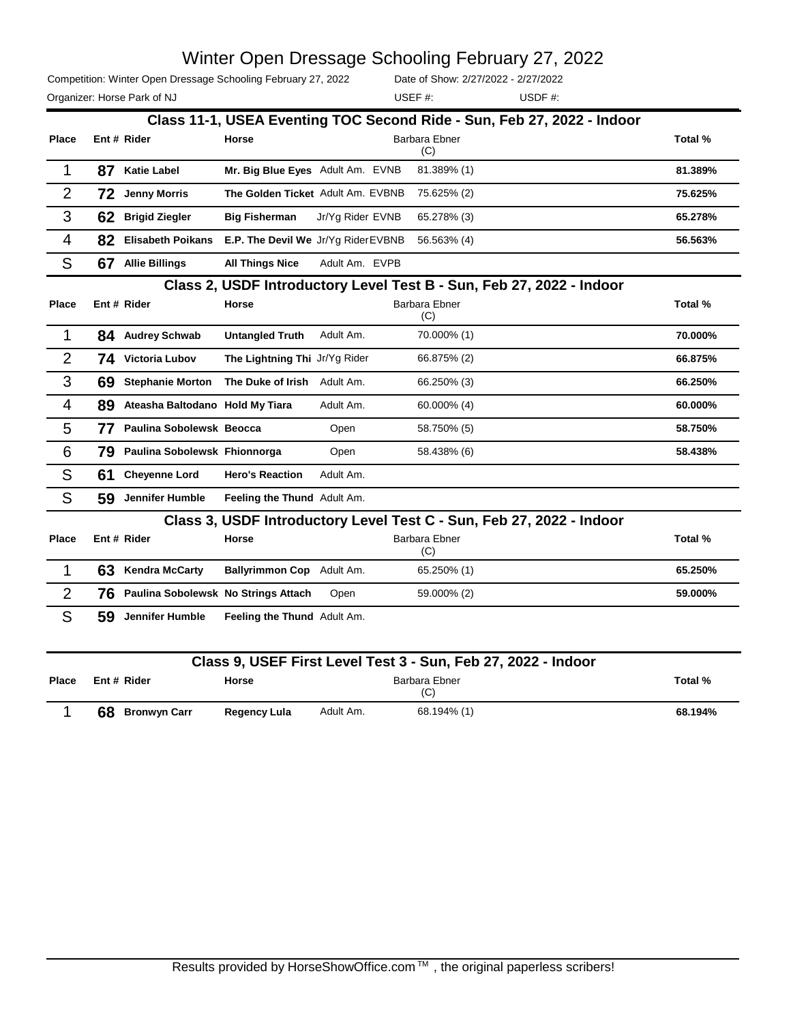Competition: Winter Open Dressage Schooling February 27, 2022

Date of Show: 2/27/2022 - 2/27/2022

Organizer: Horse Park of NJ and Solid Muslim and Solid USDF and USDF #: USEF #:

|                |    |                                     |                                     |                  |                                                               | Class 11-1, USEA Eventing TOC Second Ride - Sun, Feb 27, 2022 - Indoor |         |
|----------------|----|-------------------------------------|-------------------------------------|------------------|---------------------------------------------------------------|------------------------------------------------------------------------|---------|
| <b>Place</b>   |    | Ent # Rider                         | <b>Horse</b>                        |                  | <b>Barbara Ebner</b><br>(C)                                   |                                                                        | Total % |
| $\mathbf{1}$   | 87 | <b>Katie Label</b>                  | Mr. Big Blue Eyes Adult Am. EVNB    |                  | 81.389% (1)                                                   |                                                                        | 81.389% |
| $\overline{2}$ | 72 | <b>Jenny Morris</b>                 | The Golden Ticket Adult Am. EVBNB   |                  | 75.625% (2)                                                   |                                                                        | 75.625% |
| 3              | 62 | <b>Brigid Ziegler</b>               | <b>Big Fisherman</b>                | Jr/Yg Rider EVNB | 65.278% (3)                                                   |                                                                        | 65.278% |
| $\overline{4}$ | 82 | <b>Elisabeth Poikans</b>            | E.P. The Devil We Jr/Yg Rider EVBNB |                  | 56.563% (4)                                                   |                                                                        | 56.563% |
| S              |    | 67 Allie Billings                   | <b>All Things Nice</b>              | Adult Am. EVPB   |                                                               |                                                                        |         |
|                |    |                                     |                                     |                  |                                                               | Class 2, USDF Introductory Level Test B - Sun, Feb 27, 2022 - Indoor   |         |
| <b>Place</b>   |    | Ent # Rider                         | Horse                               |                  | <b>Barbara Ebner</b><br>(C)                                   |                                                                        | Total % |
| 1              |    | 84 Audrey Schwab                    | <b>Untangled Truth</b>              | Adult Am.        | 70.000% (1)                                                   |                                                                        | 70.000% |
| $\overline{2}$ |    | 74 Victoria Lubov                   | The Lightning Thi Jr/Yg Rider       |                  | 66.875% (2)                                                   |                                                                        | 66.875% |
| 3              | 69 | <b>Stephanie Morton</b>             | The Duke of Irish Adult Am.         |                  | 66.250% (3)                                                   |                                                                        | 66.250% |
| 4              | 89 | Ateasha Baltodano Hold My Tiara     |                                     | Adult Am.        | 60.000% (4)                                                   |                                                                        | 60.000% |
| 5              | 77 | Paulina Sobolewsk Beocca            |                                     | Open             | 58.750% (5)                                                   |                                                                        | 58.750% |
| 6              | 79 | Paulina Sobolewsk Fhionnorga        |                                     | Open             | 58.438% (6)                                                   |                                                                        | 58.438% |
| S              | 61 | <b>Cheyenne Lord</b>                | <b>Hero's Reaction</b>              | Adult Am.        |                                                               |                                                                        |         |
| S              | 59 | Jennifer Humble                     | Feeling the Thund Adult Am.         |                  |                                                               |                                                                        |         |
|                |    |                                     |                                     |                  |                                                               | Class 3, USDF Introductory Level Test C - Sun, Feb 27, 2022 - Indoor   |         |
| <b>Place</b>   |    | Ent # Rider                         | Horse                               |                  | <b>Barbara Ebner</b><br>(C)                                   |                                                                        | Total % |
| 1              | 63 | <b>Kendra McCarty</b>               | Ballyrimmon Cop Adult Am.           |                  | 65.250% (1)                                                   |                                                                        | 65.250% |
| $\overline{2}$ | 76 | Paulina Sobolewsk No Strings Attach |                                     | Open             | 59.000% (2)                                                   |                                                                        | 59.000% |
| S              | 59 | Jennifer Humble                     | Feeling the Thund Adult Am.         |                  |                                                               |                                                                        |         |
|                |    |                                     |                                     |                  | Class 9, USEF First Level Test 3 - Sun, Feb 27, 2022 - Indoor |                                                                        |         |
| Place          |    | Ent # Rider                         | Horse                               |                  | Barbara Ebner<br>(C)                                          |                                                                        | Total % |
| $\mathbf{1}$   |    | 68 Bronwyn Carr                     | <b>Regency Lula</b>                 | Adult Am.        | 68.194% (1)                                                   |                                                                        | 68.194% |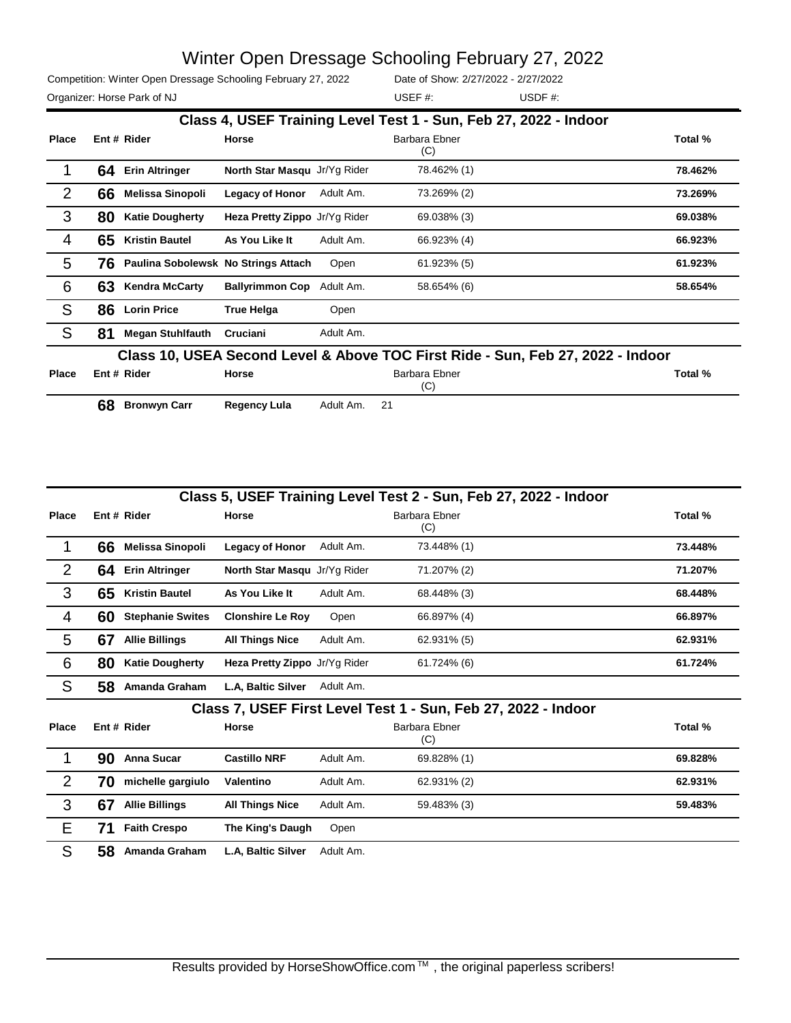USEF #:

Competition: Winter Open Dressage Schooling February 27, 2022 Organizer: Horse Park of NJ and Solid Muslim and Muslim USDF #: USDF #:

Date of Show: 2/27/2022 - 2/27/2022

|                | Class 4, USEF Training Level Test 1 - Sun, Feb 27, 2022 - Indoor                |                                     |                               |           |                      |         |  |  |
|----------------|---------------------------------------------------------------------------------|-------------------------------------|-------------------------------|-----------|----------------------|---------|--|--|
| <b>Place</b>   |                                                                                 | Ent # Rider                         | Horse                         |           | Barbara Ebner<br>(C) | Total % |  |  |
|                | 64                                                                              | <b>Erin Altringer</b>               | North Star Masqu Jr/Yg Rider  |           | 78.462% (1)          | 78.462% |  |  |
| 2              | 66                                                                              | <b>Melissa Sinopoli</b>             | <b>Legacy of Honor</b>        | Adult Am. | 73.269% (2)          | 73.269% |  |  |
| 3              | 80                                                                              | <b>Katie Dougherty</b>              | Heza Pretty Zippo Jr/Yg Rider |           | 69.038% (3)          | 69.038% |  |  |
| $\overline{4}$ | 65                                                                              | <b>Kristin Bautel</b>               | As You Like It                | Adult Am. | 66.923% (4)          | 66.923% |  |  |
| 5              | 76.                                                                             | Paulina Sobolewsk No Strings Attach |                               | Open      | 61.923% (5)          | 61.923% |  |  |
| 6              | 63                                                                              | <b>Kendra McCarty</b>               | <b>Ballyrimmon Cop</b>        | Adult Am. | 58.654% (6)          | 58.654% |  |  |
| S              | 86                                                                              | <b>Lorin Price</b>                  | <b>True Helga</b>             | Open      |                      |         |  |  |
| S              | 81                                                                              | <b>Megan Stuhlfauth</b>             | Cruciani                      | Adult Am. |                      |         |  |  |
|                | Class 10, USEA Second Level & Above TOC First Ride - Sun, Feb 27, 2022 - Indoor |                                     |                               |           |                      |         |  |  |
| <b>Place</b>   |                                                                                 | Ent # Rider                         | <b>Horse</b>                  |           | Barbara Ebner<br>(C) | Total % |  |  |
|                | 68                                                                              | <b>Bronwyn Carr</b>                 | <b>Regency Lula</b>           | Adult Am. | 21                   |         |  |  |

|                | Class 5, USEF Training Level Test 2 - Sun, Feb 27, 2022 - Indoor |                         |                               |           |                                                               |         |  |
|----------------|------------------------------------------------------------------|-------------------------|-------------------------------|-----------|---------------------------------------------------------------|---------|--|
| <b>Place</b>   |                                                                  | Ent # Rider             | Horse                         |           | <b>Barbara Ebner</b><br>(C)                                   | Total % |  |
| 1              | 66                                                               | Melissa Sinopoli        | Legacy of Honor               | Adult Am. | 73.448% (1)                                                   | 73.448% |  |
| $\overline{2}$ | 64                                                               | <b>Erin Altringer</b>   | North Star Masqu Jr/Yg Rider  |           | 71.207% (2)                                                   | 71.207% |  |
| 3              | 65                                                               | <b>Kristin Bautel</b>   | As You Like It                | Adult Am. | 68.448% (3)                                                   | 68.448% |  |
| 4              | 60                                                               | <b>Stephanie Swites</b> | <b>Clonshire Le Roy</b>       | Open      | 66.897% (4)                                                   | 66.897% |  |
| 5              | 67                                                               | <b>Allie Billings</b>   | <b>All Things Nice</b>        | Adult Am. | 62.931% (5)                                                   | 62.931% |  |
| 6              | 80                                                               | <b>Katie Dougherty</b>  | Heza Pretty Zippo Jr/Yg Rider |           | 61.724% (6)                                                   | 61.724% |  |
| S              | 58                                                               | Amanda Graham           | L.A. Baltic Silver            | Adult Am. |                                                               |         |  |
|                |                                                                  |                         |                               |           | Class 7, USEF First Level Test 1 - Sun, Feb 27, 2022 - Indoor |         |  |
| <b>Place</b>   |                                                                  | Ent # Rider             | Horse                         |           | Barbara Ebner<br>(C)                                          | Total % |  |
| 1              | 90                                                               | <b>Anna Sucar</b>       | <b>Castillo NRF</b>           | Adult Am. | 69.828% (1)                                                   | 69.828% |  |
| $\overline{2}$ | 70                                                               | michelle gargiulo       | Valentino                     | Adult Am. | 62.931% (2)                                                   | 62.931% |  |
| 3              | 67                                                               | <b>Allie Billings</b>   | <b>All Things Nice</b>        | Adult Am. | 59.483% (3)                                                   | 59.483% |  |
| Е              | 71                                                               | <b>Faith Crespo</b>     | The King's Daugh              | Open      |                                                               |         |  |
| S              | 58                                                               | Amanda Graham           | L.A. Baltic Silver            | Adult Am. |                                                               |         |  |